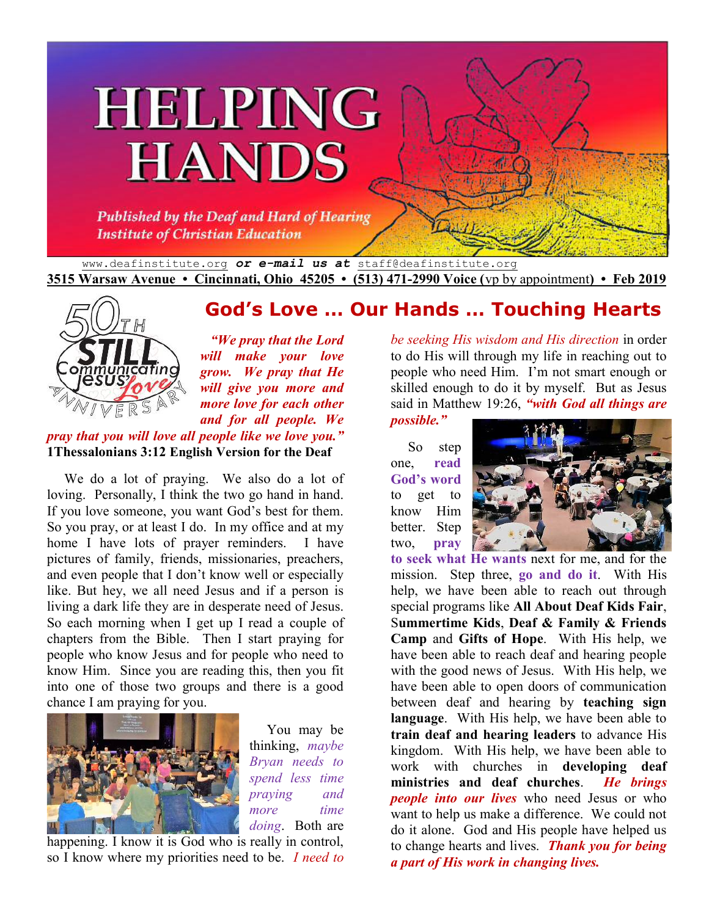# **HELPING HANDS**

Published by the Deaf and Hard of Hearing **Institute of Christian Education** 

www.deafinstitute.org *or e-mail us at* staff@deafinstitute.org **3515 Warsaw Avenue • Cincinnati, Ohio 45205 • (513) 471-2990 Voice (**vp by appointment**) • Feb 2019**



 *"We pray that the Lord will make your love grow. We pray that He will give you more and more love for each other and for all people. We* 

#### *pray that you will love all people like we love you."* **1Thessalonians 3:12 English Version for the Deaf**

We do a lot of praying. We also do a lot of loving. Personally, I think the two go hand in hand. If you love someone, you want God's best for them. So you pray, or at least I do. In my office and at my home I have lots of prayer reminders. I have pictures of family, friends, missionaries, preachers, and even people that I don't know well or especially like. But hey, we all need Jesus and if a person is living a dark life they are in desperate need of Jesus. So each morning when I get up I read a couple of chapters from the Bible. Then I start praying for people who know Jesus and for people who need to know Him. Since you are reading this, then you fit into one of those two groups and there is a good chance I am praying for you.



 You may be thinking, *maybe Bryan needs to spend less time praying and more time doing*. Both are

happening. I know it is God who is really in control, so I know where my priorities need to be. *I need to*  *be seeking His wisdom and His direction* in order to do His will through my life in reaching out to people who need Him. I'm not smart enough or skilled enough to do it by myself. But as Jesus said in Matthew 19:26, *"with God all things are* 

*possible."*

 So step one, **read God's word** to get to know Him better. Step two, **pray** 

**God's Love … Our Hands … Touching Hearts**



**to seek what He wants** next for me, and for the mission. Step three, **go and do it**. With His help, we have been able to reach out through special programs like **All About Deaf Kids Fair**, S**ummertime Kids**, **Deaf & Family & Friends Camp** and **Gifts of Hope**. With His help, we have been able to reach deaf and hearing people with the good news of Jesus. With His help, we have been able to open doors of communication between deaf and hearing by **teaching sign language**. With His help, we have been able to **train deaf and hearing leaders** to advance His kingdom. With His help, we have been able to work with churches in **developing deaf ministries and deaf churches**. *He brings people into our lives* who need Jesus or who want to help us make a difference. We could not do it alone. God and His people have helped us to change hearts and lives. *Thank you for being a part of His work in changing lives.*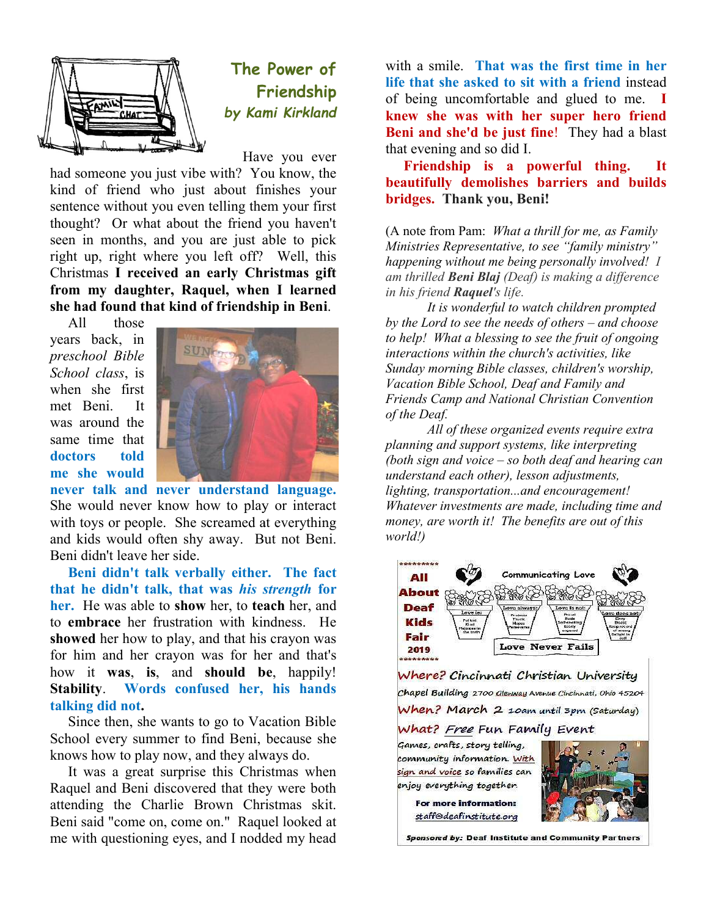

## **The Power of Friendship** *by Kami Kirkland Kami Kirkland*

Have you ever

had someone you just vibe with? You know, the kind of friend who just about finishes your sentence without you even telling them your first thought? Or what about the friend you haven't seen in months, and you are just able to pick right up, right where you left off? Well, this Christmas I r<mark>eceived an early Christmas gift</mark><br>from my daughter, Raquel, when I learned from my daughter, Raquel, when I learned she had found that kind of friendship in Beni. kind of friend who just about finishes your<br>sentence without you even telling them your first<br>thought? Or what about the friend you haven't<br>seen in months, and you are just able to pick<br>right up, right where you left off? **The Power of the stationary of the stationary in the first time in her stationary and the come Raquel at means the smile of the come Raquel at means the small at the stationary particularly the smile of the come Raquel a** 

 All those years back, in *preschool Bible School class*, is when she first met Beni. It was around the same time that **doctors told me she would** 



never talk and never understand language. She would never know how to play or interact with toys or people. She screamed at everything with toys or people. She screamed at everything<br>and kids would often shy away. But not Beni. Beni didn't leave her side.

Beni didn't talk verbally either. The fact **that he didn't talk, that was** *his strength*  **for her.** He was able to **show** her, to **teach** her, and to **embrace** her frustration with kindness. He **showed** her how to play, and that his crayon was for him and her crayon was for her and that's how it **was**, **is**, and **should be** Stability. Words confused her, his hands **talking did not.**  mbrace her frustration with kindness. He<br>wed her how to play, and that his crayon was<br>him and her crayon was for her and that's<br>it was, is, and should be, happily!

Since then, she wants to go to Vacation Bible School every summer to find Beni, because she knows how to play now, and they always do.

It was a great surprise this Christmas when Raquel and Beni discovered that they were both attending the Charlie Brown Christmas skit. Beni said "come on, come on." Raquel looked at me with questioning eyes, and I nodded my head

**life that she asked to sit with a friend** of being uncomfortable and glued to me. I **knew she was with her super her super hero friend Beni and she'd be just fine** ! They had a blast that evening and so did I. with a smile. That was the first time in her

**Friendship is a powerful thing. It beautifully demolishes barriers and builds bridges. Thank you, Ben** is a pow<br>**iolishes** ba<br>you, Beni!

(A note from Pam: *What a thrill for me, as Family Ministries Representative, to see "family ministry" Ministries Representative, to see "family ministry"*<br>happening without me being personally involved! I *am thrilled Beni Blaj (Deaf) is making a difference in his friend Raquel's life.* 

It is wonderful to watch children prompted *by the Lord to see the needs of others – and choose to help! What a blessing to see the fruit of ongoing interactions within the church's activities, like Sunday morning Bible classes, children's worship, Vacation Bible School, Deaf and Family and Friends Camp and National Christian Convention of the Deaf. What a blessing to see the fruit of on*<br>*pns within the church's activities, like*<br>*norning Bible classes, children's wor*<br>*Bible School, Deaf and Family and* 

*All of these organized events require extra planning and support systems, like interpreting (both sign and voice – so both deaf and hearing can understand each other), lesson adju lighting, transportation...and encouragement! Whatever investments are made, including time and Whatever investments are made, including time and money, are worth it! The benefits are out of this world!) All of these organized events require*<br>*g and support systems, like interpreti*<br>*gn and voice – so both deaf and hear*<br>*and each other), lesson adjustments,* 



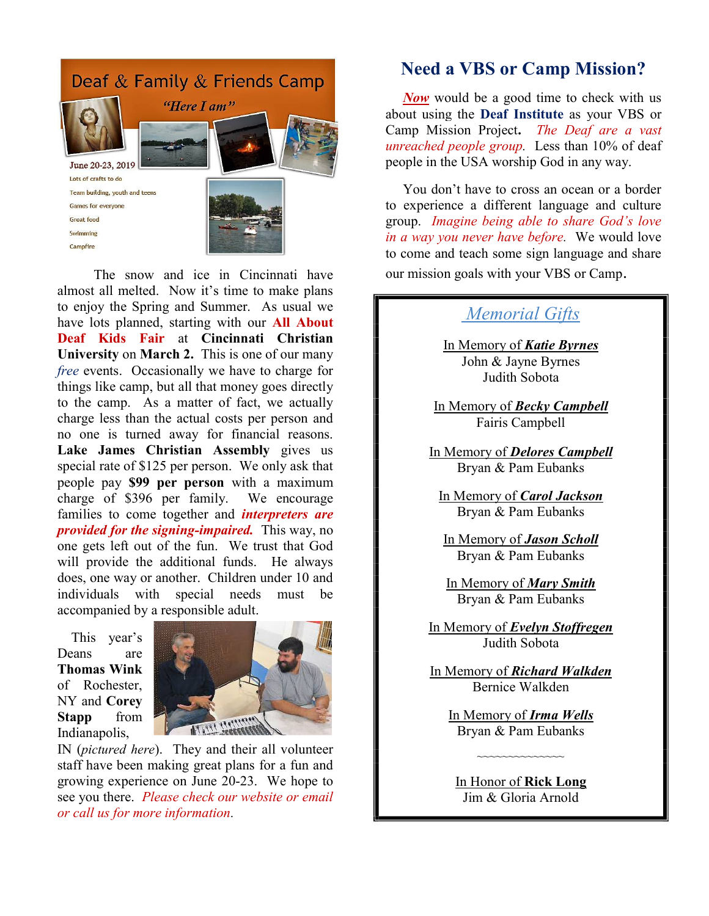

The snow and ice in Cincinnati have almost all melted. Now it's time to make plans to enjoy the Spring and Summer. As usual we have lots planned, starting with our **All About Deaf Kids Fair** at **Cincinnati Christian University** on **March 2.** This is one of our many *free* events. Occasionally we have to charge for things like camp, but all that money goes directly to the camp. As a matter of fact, we actually charge less than the actual costs per person and no one is turned away for financial reasons. **Lake James Christian Assembly** gives us special rate of \$125 per person. We only ask that people pay **\$99 per person** with a maximum charge of \$396 per family. We encourage families to come together and *interpreters are provided for the signing-impaired.* This way, no one gets left out of the fun. We trust that God will provide the additional funds. He always does, one way or another. Children under 10 and individuals with special needs must be accompanied by a responsible adult.

 This year's Deans are **Thomas Wink** of Rochester, NY and **Corey Stapp** from Indianapolis,



IN (*pictured here*). They and their all volunteer staff have been making great plans for a fun and growing experience on June 20-23. We hope to see you there. *Please check our website or email or call us for more information.*

### **Need a VBS or Camp Mission?**

*Now* would be a good time to check with us about using the **Deaf Institute** as your VBS or Camp Mission Project**.** *The Deaf are a vast unreached people group.* Less than 10% of deaf people in the USA worship God in any way.

 You don't have to cross an ocean or a border to experience a different language and culture group. *Imagine being able to share God's love in a way you never have before.* We would love to come and teach some sign language and share our mission goals with your VBS or Camp.

## *Memorial Gifts*

In Memory of *Katie Byrnes* John & Jayne Byrnes Judith Sobota

In Memory of *Becky Campbell* Fairis Campbell

In Memory of *Delores Campbell* Bryan & Pam Eubanks

In Memory of *Carol Jackson* Bryan & Pam Eubanks

In Memory of *Jason Scholl* Bryan & Pam Eubanks

In Memory of *Mary Smith* Bryan & Pam Eubanks

In Memory of *Evelyn Stoffregen* Judith Sobota

In Memory of *Richard Walkden* Bernice Walkden

> In Memory of *Irma Wells* Bryan & Pam Eubanks

In Honor of **Rick Long** Jim & Gloria Arnold

~~~~~~~~~~~~~~